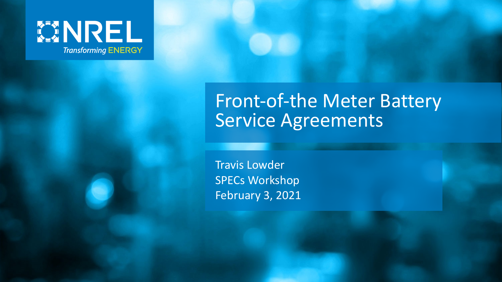

#### Front-of-the Meter Battery Service Agreements

Travis Lowder SPECs Workshop February 3, 2021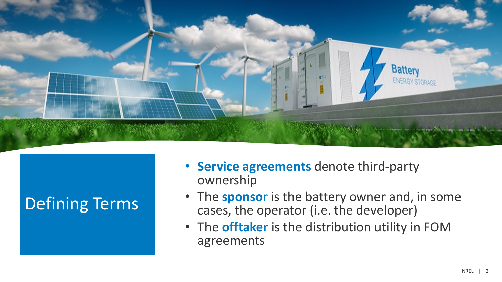

#### Defining Terms

- **Service agreements** denote third-party ownership
- The **sponso**r is the battery owner and, in some cases, the operator (i.e. the developer)
- The **offtaker** is the distribution utility in FOM agreements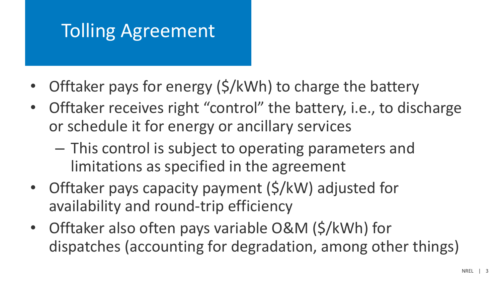### Tolling Agreement

- Offtaker pays for energy (\$/kWh) to charge the battery
- Offtaker receives right "control" the battery, i.e., to discharge or schedule it for energy or ancillary services
	- This control is subject to operating parameters and limitations as specified in the agreement
- Offtaker pays capacity payment (\$/kW) adjusted for availability and round-trip efficiency
- Offtaker also often pays variable O&M (\$/kWh) for dispatches (accounting for degradation, among other things)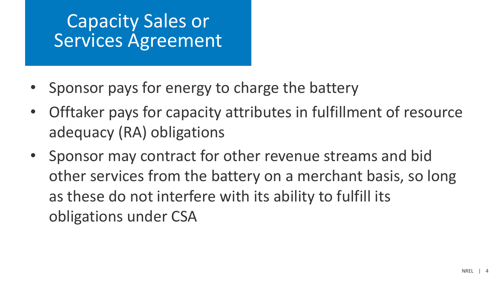#### Capacity Sales or Services Agreement

- Sponsor pays for energy to charge the battery
- Offtaker pays for capacity attributes in fulfillment of resource adequacy (RA) obligations
- Sponsor may contract for other revenue streams and bid other services from the battery on a merchant basis, so long as these do not interfere with its ability to fulfill its obligations under CSA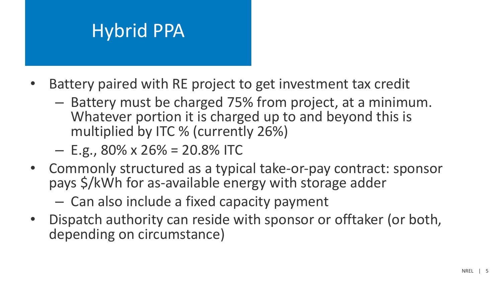#### Hybrid PPA

- Battery paired with RE project to get investment tax credit
	- Battery must be charged 75% from project, at a minimum. Whatever portion it is charged up to and beyond this is multiplied by ITC % (currently 26%)

 $-$  E.g., 80% x 26% = 20.8% ITC

- Commonly structured as a typical take-or-pay contract: sponsor pays \$/kWh for as-available energy with storage adder
	- Can also include a fixed capacity payment
- Dispatch authority can reside with sponsor or offtaker (or both, depending on circumstance)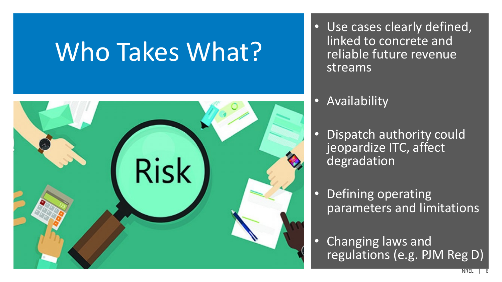## Who Takes What?



- Use cases clearly defined, linked to concrete and reliable future revenue streams
- Availability
- Dispatch authority could jeopardize ITC, affect degradation
- Defining operating parameters and limitations
- Changing laws and regulations (e.g. PJM Reg D)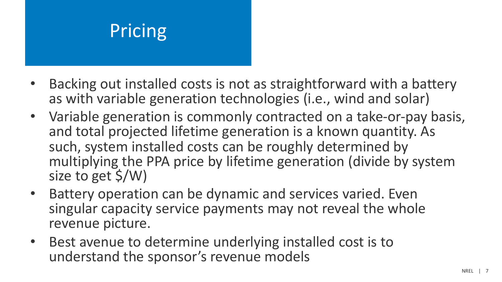### Pricing

- Backing out installed costs is not as straightforward with a battery as with variable generation technologies (i.e., wind and solar)
- Variable generation is commonly contracted on a take-or-pay basis, and total projected lifetime generation is a known quantity. As such, system installed costs can be roughly determined by multiplying the PPA price by lifetime generation (divide by system size to get \$/W)
- Battery operation can be dynamic and services varied. Even singular capacity service payments may not reveal the whole revenue picture.
- Best avenue to determine underlying installed cost is to understand the sponsor's revenue models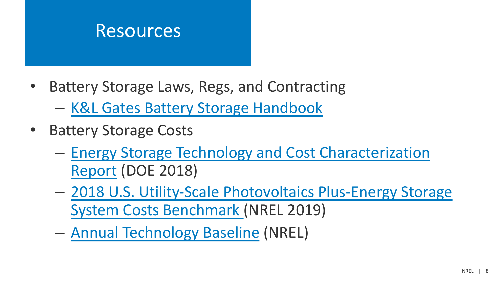### Resources

- Battery Storage Laws, Regs, and Contracting
	- K&L Gates Battery Storage Handbook
- **Battery Storage Costs** 
	- Energy Storage Technology and Cost Characterization Report (DOE 2018)
	- 2018 U.S. Utility-Scale Photovoltaics Plus-Energy Stor System Costs Benchmark (NREL 2019)
	- Annual Technology Baseline (NREL)